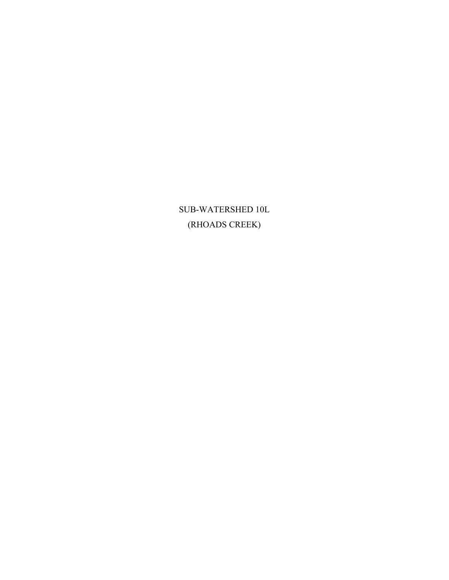SUB-WATERSHED 10L (RHOADS CREEK)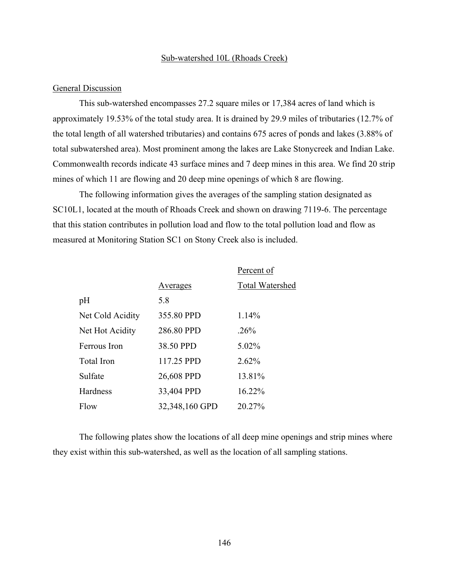#### Sub-watershed 10L (Rhoads Creek)

#### General Discussion

This sub-watershed encompasses 27.2 square miles or 17,384 acres of land which is approximately 19.53% of the total study area. It is drained by 29.9 miles of tributaries (12.7% of the total length of all watershed tributaries) and contains 675 acres of ponds and lakes (3.88% of total subwatershed area). Most prominent among the lakes are Lake Stonycreek and Indian Lake. Commonwealth records indicate 43 surface mines and 7 deep mines in this area. We find 20 strip mines of which 11 are flowing and 20 deep mine openings of which 8 are flowing.

The following information gives the averages of the sampling station designated as SC10L1, located at the mouth of Rhoads Creek and shown on drawing 7119-6. The percentage that this station contributes in pollution load and flow to the total pollution load and flow as measured at Monitoring Station SC1 on Stony Creek also is included.

|                  |                | Percent of      |
|------------------|----------------|-----------------|
|                  | Averages       | Total Watershed |
| pH               | 5.8            |                 |
| Net Cold Acidity | 355.80 PPD     | 1.14%           |
| Net Hot Acidity  | 286.80 PPD     | .26%            |
| Ferrous Iron     | 38.50 PPD      | 5.02%           |
| Total Iron       | 117.25 PPD     | 2.62%           |
| Sulfate          | 26,608 PPD     | 13.81%          |
| Hardness         | 33,404 PPD     | 16.22%          |
| Flow             | 32,348,160 GPD | 20.27%          |

The following plates show the locations of all deep mine openings and strip mines where they exist within this sub-watershed, as well as the location of all sampling stations.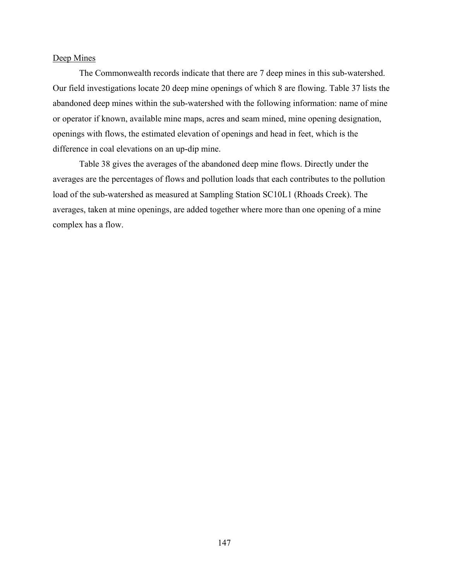### Deep Mines

The Commonwealth records indicate that there are 7 deep mines in this sub-watershed. Our field investigations locate 20 deep mine openings of which 8 are flowing. Table 37 lists the abandoned deep mines within the sub-watershed with the following information: name of mine or operator if known, available mine maps, acres and seam mined, mine opening designation, openings with flows, the estimated elevation of openings and head in feet, which is the difference in coal elevations on an up-dip mine.

Table 38 gives the averages of the abandoned deep mine flows. Directly under the averages are the percentages of flows and pollution loads that each contributes to the pollution load of the sub-watershed as measured at Sampling Station SC10L1 (Rhoads Creek). The averages, taken at mine openings, are added together where more than one opening of a mine complex has a flow.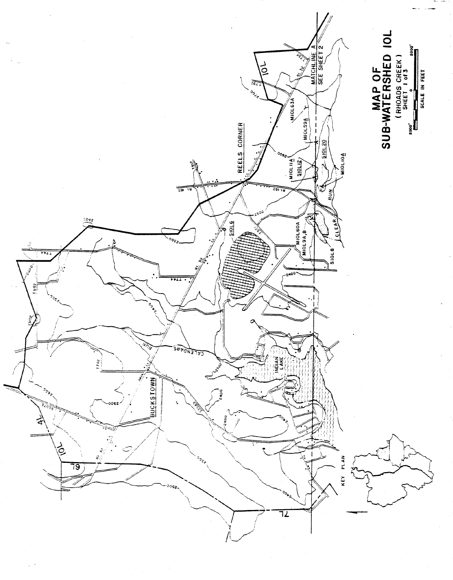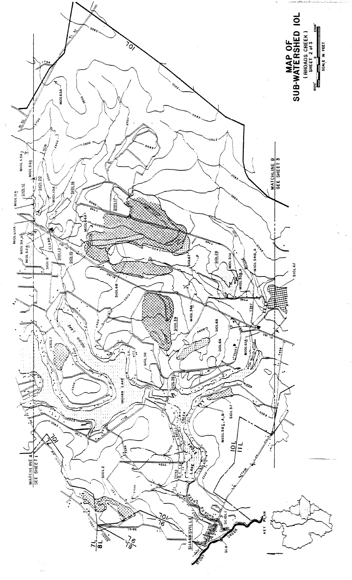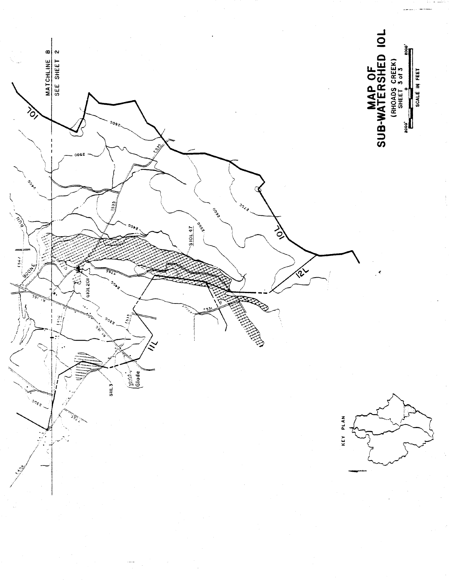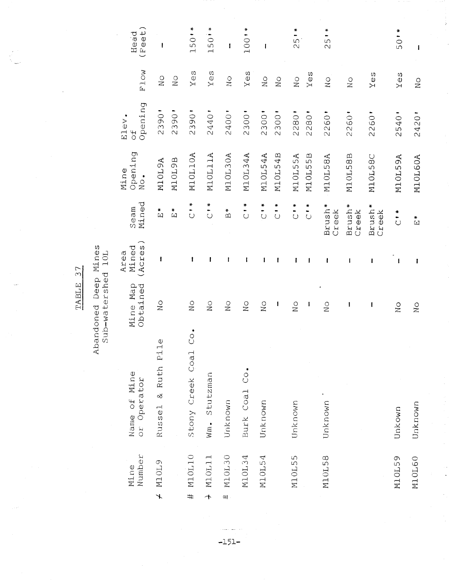| $\pmb{\mathfrak{f}}$                                                                                                                                                                                                                                                                                                                                                             | $\frac{1}{2}$                                   | 2420'                              | M10L60A                              | $\stackrel{*}{\Xi}$                        | I                       | $\sum_{i=1}^{n}$          | Unknown                                                             | <b>M10L60</b>    |
|----------------------------------------------------------------------------------------------------------------------------------------------------------------------------------------------------------------------------------------------------------------------------------------------------------------------------------------------------------------------------------|-------------------------------------------------|------------------------------------|--------------------------------------|--------------------------------------------|-------------------------|---------------------------|---------------------------------------------------------------------|------------------|
| 50'*                                                                                                                                                                                                                                                                                                                                                                             | $Y \ominus S$                                   | 2540                               | M10L59A                              | $\frac{1}{\sqrt{2}}$                       | ł                       | $\rm _N^O$                | Unkown                                                              | M10L59           |
|                                                                                                                                                                                                                                                                                                                                                                                  | Yes                                             | 2260                               | M10L58C                              | Brush <sup>*</sup><br>Creek                | 1                       | $\mathbf{I}$              |                                                                     |                  |
|                                                                                                                                                                                                                                                                                                                                                                                  | $\rm _N^O$                                      | 2260                               | M10L58B                              | Brush <sup>*</sup><br>Creek                | I                       | I                         |                                                                     |                  |
| $25$ $\bullet$                                                                                                                                                                                                                                                                                                                                                                   | $\rm _N$                                        | 2260                               | M10L58A                              | Brush <sup>*</sup><br>Creek                | ı                       | $\sum_{i=1}^{n}$          | Unknown                                                             | M10L58           |
|                                                                                                                                                                                                                                                                                                                                                                                  | Yes                                             | 2280'                              | M10L55B                              | $\overline{C}$                             | ł                       | $\mathbf{I}$              |                                                                     |                  |
| $*$<br>25                                                                                                                                                                                                                                                                                                                                                                        | $\frac{1}{2}$                                   | 2280                               | M10L55A                              | $\frac{1}{2}$                              | ı                       | $_{\rm N_O}$              | Unknown                                                             | M10L55           |
|                                                                                                                                                                                                                                                                                                                                                                                  | $\rm _N$                                        | 2300'                              | M10L54B                              | $\sum_{i=1}^{n}$                           | 1                       | ł                         |                                                                     |                  |
| $\mathbf{I}$                                                                                                                                                                                                                                                                                                                                                                     | $\sum\limits_{i=1}^{n}$                         | 2300                               | M10L54A                              | $\frac{1}{2}$                              | I                       | $\overline{N}$            | Unknown                                                             | M10L54           |
| ¥<br>100'                                                                                                                                                                                                                                                                                                                                                                        | Yes                                             | 2300'                              | M10L34A                              | $\frac{1}{2}$                              | ł                       | $\rm _N^O$                | Burk Coal Co.                                                       | M10L34           |
| I                                                                                                                                                                                                                                                                                                                                                                                | $\stackrel{\circ}{\simeq}$                      | 2400"                              | M10L30A                              | $\overset{*}{\mathbb{D}}$                  | ł                       | $\frac{0}{2}$             | Unknown                                                             | M10L30<br>애      |
| 1501*                                                                                                                                                                                                                                                                                                                                                                            | $Y \ominus S$                                   | 2440'                              | M10L11A                              | $\frac{1}{2}$                              | ł                       | $\frac{1}{2}$             | Stutzman<br>$\frac{1}{2}$                                           | M10L11<br>↑      |
| 150'*                                                                                                                                                                                                                                                                                                                                                                            | $Y \in S$                                       | 2390                               | M10L10A                              | $\begin{array}{c} * \\ 0 \\ 0 \end{array}$ | ı                       | $\overset{\circ}{\simeq}$ | ٠<br>$\overset{\circ}{\circ}$<br>$\rightarrow$<br>Stony Creek Coa   | M10L10<br>#      |
|                                                                                                                                                                                                                                                                                                                                                                                  | $\stackrel{\textstyle\circ}{\phantom{}_{\sim}}$ | 2390                               | <b>N1OL9B</b>                        | $\stackrel{*}{\Xi}$                        |                         |                           |                                                                     |                  |
| $\begin{array}{c} \rule{0pt}{2.5ex} \rule{0pt}{2.5ex} \rule{0pt}{2.5ex} \rule{0pt}{2.5ex} \rule{0pt}{2.5ex} \rule{0pt}{2.5ex} \rule{0pt}{2.5ex} \rule{0pt}{2.5ex} \rule{0pt}{2.5ex} \rule{0pt}{2.5ex} \rule{0pt}{2.5ex} \rule{0pt}{2.5ex} \rule{0pt}{2.5ex} \rule{0pt}{2.5ex} \rule{0pt}{2.5ex} \rule{0pt}{2.5ex} \rule{0pt}{2.5ex} \rule{0pt}{2.5ex} \rule{0pt}{2.5ex} \rule{0$ | $\rm _N^O$                                      | 2390'                              | M10L9A                               | $\tilde{E}$                                | ł                       | $\frac{0}{1}$             | $\frac{0}{1}$<br>$\cdot$ H<br>$\mathbf{\Omega}$<br>& Ruth<br>Russel | M10L9<br>$\star$ |
| Head<br>(Feet)                                                                                                                                                                                                                                                                                                                                                                   | Flow                                            | Opening<br>Elev.<br>$\overline{5}$ | Opening<br>Mine<br>$N \circ \bullet$ | Mined<br>seam                              | (Acres<br>Mined<br>Area | Mine Map<br>Obtained      | Name of Mine<br>Operator<br>3O                                      | Number<br>Mine   |
|                                                                                                                                                                                                                                                                                                                                                                                  |                                                 |                                    |                                      |                                            |                         |                           |                                                                     |                  |

i<br>R

 $\frac{1}{2}$ 

J.

TABLE 37

Abandoned Deep Mines<br>Sub-watershed 10L

 $-151-$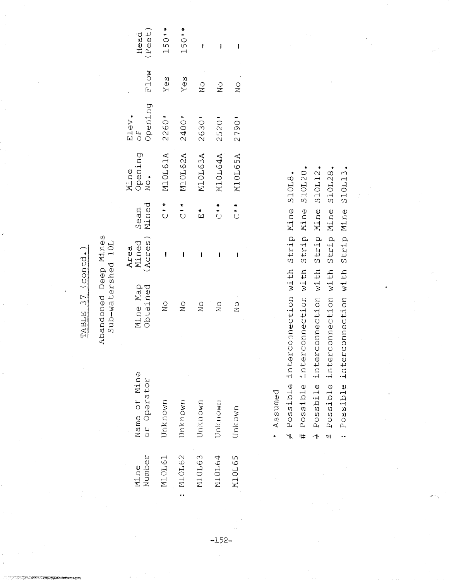TABLE 37 (contd.)

Abandoned Deep Mines Sub-watershed 10L

| (Feet)<br>Head                     | 1501*                                         | 1501*                                                       | ł                | ı             | ı                |  |
|------------------------------------|-----------------------------------------------|-------------------------------------------------------------|------------------|---------------|------------------|--|
| F1ow                               | Yes                                           | Yes                                                         | $\sum_{i=1}^{n}$ | $\frac{1}{2}$ | $\frac{1}{2}$    |  |
| Opening<br>Elev.<br>$\overline{d}$ | 2260'                                         | 2400"                                                       | 2630             | 2520          | 2790             |  |
| Mine<br>Opening<br>No.             | M10L61A                                       | M10L62A                                                     | M10L63A          | M10L64A       | M10L65A          |  |
| Seam<br>Mined                      | $\begin{matrix} * \\ * \\ \circ \end{matrix}$ | $\begin{array}{c}\n\ast \\ \bullet \\ \bullet\n\end{array}$ | $\tilde{E}^*$    | $\frac{1}{2}$ | $\sum_{i=1}^{n}$ |  |
| Mined<br>(Acres)<br>Area           | I                                             | i                                                           | ı                | į             | ı                |  |
| Mine Map<br>Obtained               | $\frac{0}{2}$                                 | $\frac{0}{2}$                                               | $\frac{1}{2}$    | $\frac{0}{2}$ | $\frac{0}{2}$    |  |
| Name of Mine<br>or Operator        | Unknown                                       | Unknown                                                     | Jnknown          | Unknown       | Unkown           |  |
| Number<br>Mine                     | M10L61                                        | M10L62                                                      | M10L63           | M10L64        | <b>M10L65</b>    |  |

Assumed  $\ast$ 

 $-152-$ 

+ Possible interconnection with Strip Mine S10L8.

# Possible interconnection with Strip Mine S10L20.

Strip Mine S10L12. + Possbile interconnection with

Possible interconnection with Strip Mine S10L28.  $|o|$ 

: Possible interconnection with Strip Mine S10L13.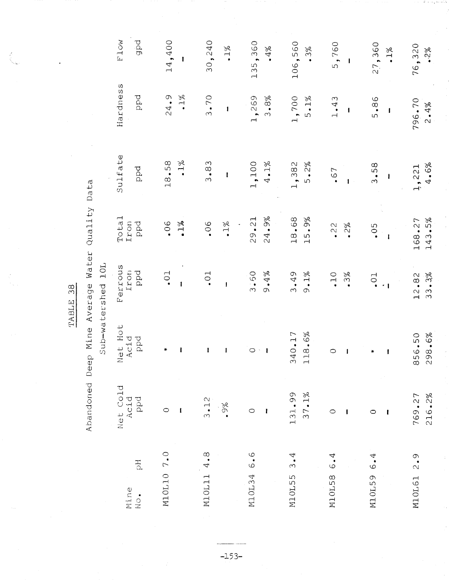Abandoned Deep Mine Average Water Quality Data

 $\overline{1}$   $\overline{O}$  $\overline{a}$ نې<br>ب  $\frac{1}{2}$ 

|                        |                  |                                        | TN Deusterand Tom |                  |               |                |                 |
|------------------------|------------------|----------------------------------------|-------------------|------------------|---------------|----------------|-----------------|
| Mine                   | Net Cold<br>Acid | Hot<br>Acid<br>Net                     | Ferrous<br>Iron   | Total<br>Iron    | Sulfate       | Hardness       | F10W            |
| $\Xi$<br>$\frac{1}{2}$ | ppd              | ppd                                    | ppd               | ppd              | ppd           | ppd            | gpd             |
| M10L10 7.0             | $\circ$          | $\ast$                                 | $\cdot$ 01        | 06               | 18,58         | 24.9           | 14,400          |
|                        | 1                | Ī                                      | $\mathbf{I}$      | $1\%$            | $1\%$         | $\cdot$ 1%     | I               |
| 4.8<br>M10L11          | 3.12             | 1                                      | $\overline{0}$ .  | .06              | 3.83          | 3.70           | 30,240          |
|                        | $.9\%$           | $\mathbf{I}$                           | $\mathbf{I}$      | $1\%$            | $\mathbf{I}$  | $\mathbf{I}$   | $1\%$           |
| 6.6<br>M10L34          | $\circ$          | $\circ$                                | 3.60              | 29.21            | 1,100         | 1,269          | 135,360         |
|                        | ł                | $\mathbf{I}$<br>$\bar{\phantom{a}}$    | 9.4%              | 24.9%            | $4.1\%$       | 3.8%           | $\bullet\,4\%$  |
| 3.4<br>M10L55          | 131.99           | 40.17<br>$\infty$                      | 3.49              | 18.68            | 1,382         | 1,700          | 106,560         |
|                        | 37.1%            | 18.6%<br>$\overline{\phantom{0}}$      | 9.1%              | 15.9%            | 5.2%          | $5.1\%$        | .3%             |
| 6.4<br>M10L58          | $\circ$          | $\circ$                                | $\cdot$ 10        | $\cdot$ 22       | .67           | 1.43           | 5,760           |
|                        | ł                | 1                                      | .3%               | $2\%$            | $\mathbf{I}$  | I              | I               |
| 6.4<br>M10L59          | $\circ$          | ₩                                      | $-10$             | .05              | 3.58          | 5.86           | 27,360          |
|                        | ı                | $\mathbf{I}$                           | $\cdot$ 1         | ł                | ł             | ı              | $.1\%$          |
| 2.9<br>M10L61          | 216.2%<br>769.27 | 98.6%<br>56.50<br>$\infty$<br>$\alpha$ | 33.3%<br>12.82    | 143.5%<br>168.27 | 4.6%<br>1,221 | 796.70<br>2.4% | 76,320<br>$-28$ |
|                        |                  |                                        |                   |                  |               |                |                 |

 $-153-$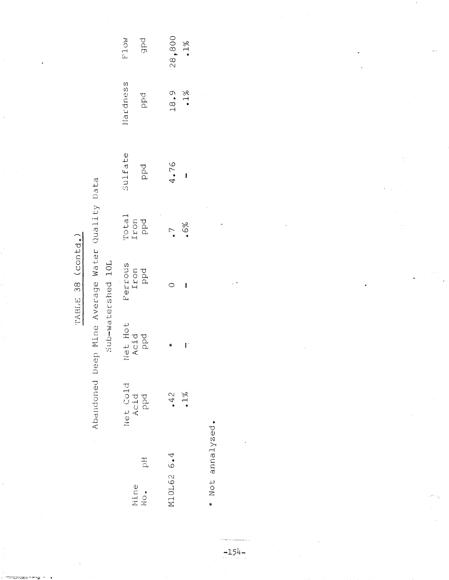TABLE 38 (contd.)

Abandoned Deep Mine Average Water Quality Data

Sub-watershed 10L

| pdp<br><b>MOTA</b>      | 28,800<br>$.1\%$          |
|-------------------------|---------------------------|
| Hardness<br>pd          | 18.9<br>$\cdot$ 1%        |
| Sulfate<br>ppd          | 4.76<br>ı                 |
| Total<br>Iron<br>Ppd    | .6%<br>$\overline{\cdot}$ |
| Ferrous<br>Iron<br>Ppd  | I                         |
| let Hot<br>Acid<br>Ppd  | Ė<br>∗                    |
| Net Cold<br>Acid<br>Ppd | $\frac{2}{\cdot}$         |
| Mine<br>No. pH          | M10L62 6.4                |

\* Not annalyzed.

 $-154-$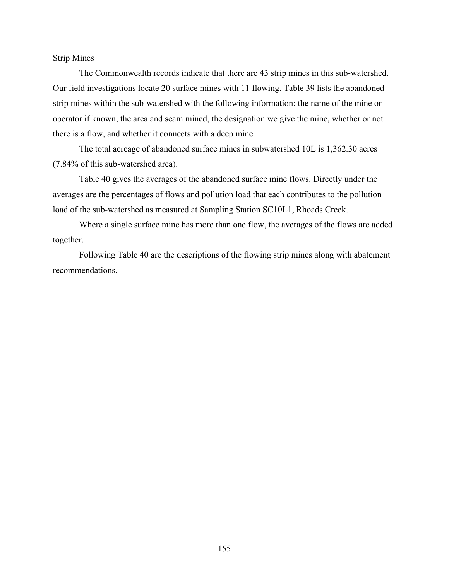#### Strip Mines

The Commonwealth records indicate that there are 43 strip mines in this sub-watershed. Our field investigations locate 20 surface mines with 11 flowing. Table 39 lists the abandoned strip mines within the sub-watershed with the following information: the name of the mine or operator if known, the area and seam mined, the designation we give the mine, whether or not there is a flow, and whether it connects with a deep mine.

The total acreage of abandoned surface mines in subwatershed 10L is 1,362.30 acres (7.84% of this sub-watershed area).

Table 40 gives the averages of the abandoned surface mine flows. Directly under the averages are the percentages of flows and pollution load that each contributes to the pollution load of the sub-watershed as measured at Sampling Station SC10L1, Rhoads Creek.

Where a single surface mine has more than one flow, the averages of the flows are added together.

Following Table 40 are the descriptions of the flowing strip mines along with abatement recommendations.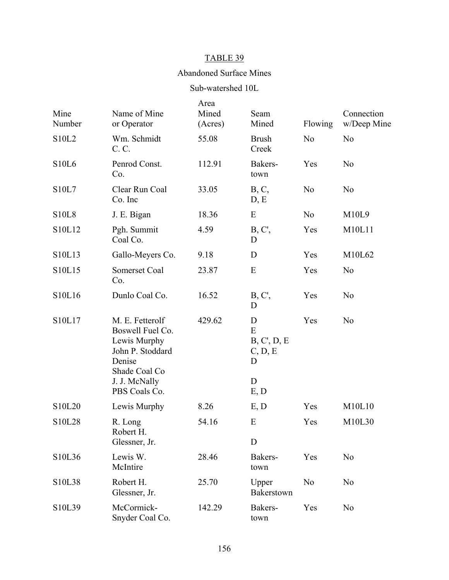# TABLE 39

## Abandoned Surface Mines

# Sub-watershed 10L

| Mine<br>Number | Name of Mine<br>or Operator                                                                                                          | Area<br>Mined<br>(Acres) | Seam<br>Mined                                     | Flowing        | Connection<br>w/Deep Mine |
|----------------|--------------------------------------------------------------------------------------------------------------------------------------|--------------------------|---------------------------------------------------|----------------|---------------------------|
| S10L2          | Wm. Schmidt<br>C. C.                                                                                                                 | 55.08                    | <b>Brush</b><br>Creek                             | N <sub>o</sub> | N <sub>0</sub>            |
| <b>S10L6</b>   | Penrod Const.<br>Co.                                                                                                                 | 112.91                   | Bakers-<br>town                                   | Yes            | N <sub>o</sub>            |
| S10L7          | Clear Run Coal<br>Co. Inc                                                                                                            | 33.05                    | B, C,<br>D, E                                     | N <sub>0</sub> | N <sub>o</sub>            |
| <b>S10L8</b>   | J. E. Bigan                                                                                                                          | 18.36                    | E                                                 | N <sub>o</sub> | M10L9                     |
| S10L12         | Pgh. Summit<br>Coal Co.                                                                                                              | 4.59                     | B, C',<br>D                                       | Yes            | M10L11                    |
| S10L13         | Gallo-Meyers Co.                                                                                                                     | 9.18                     | D                                                 | Yes            | M10L62                    |
| S10L15         | Somerset Coal<br>Co.                                                                                                                 | 23.87                    | E                                                 | Yes            | N <sub>o</sub>            |
| S10L16         | Dunlo Coal Co.                                                                                                                       | 16.52                    | B, C',<br>D                                       | Yes            | N <sub>o</sub>            |
| S10L17         | M. E. Fetterolf<br>Boswell Fuel Co.<br>Lewis Murphy<br>John P. Stoddard<br>Denise<br>Shade Coal Co<br>J. J. McNally<br>PBS Coals Co. | 429.62                   | D<br>E<br>B, C, D, E<br>C, D, E<br>D<br>D<br>E, D | Yes            | N <sub>o</sub>            |
| S10L20         | Lewis Murphy                                                                                                                         | 8.26                     | E, D                                              | Yes            | M10L10                    |
| S10L28         | R. Long<br>Robert H.<br>Glessner, Jr.                                                                                                | 54.16                    | E<br>D                                            | Yes            | M10L30                    |
| S10L36         | Lewis W.<br>McIntire                                                                                                                 | 28.46                    | Bakers-<br>town                                   | Yes            | N <sub>0</sub>            |
| S10L38         | Robert H.<br>Glessner, Jr.                                                                                                           | 25.70                    | Upper<br>Bakerstown                               | N <sub>o</sub> | N <sub>0</sub>            |
| S10L39         | McCormick-<br>Snyder Coal Co.                                                                                                        | 142.29                   | Bakers-<br>town                                   | Yes            | N <sub>o</sub>            |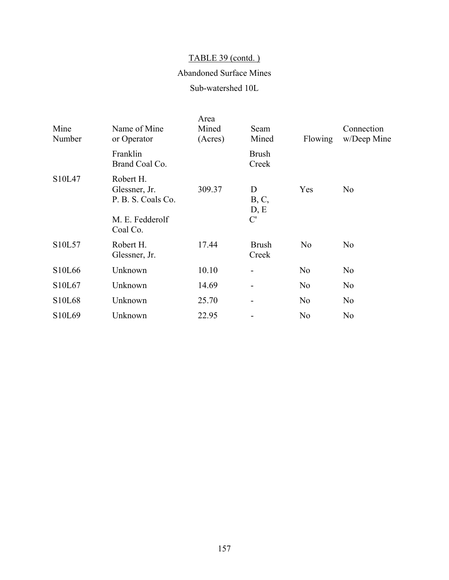# TABLE 39 (contd.)

# Abandoned Surface Mines

## Sub-watershed 10L

| Mine<br>Number                  | Name of Mine<br>or Operator                                                     | Area<br>Mined<br>(Acres) | Seam<br>Mined            | Flowing        | Connection<br>w/Deep Mine |
|---------------------------------|---------------------------------------------------------------------------------|--------------------------|--------------------------|----------------|---------------------------|
|                                 | Franklin<br>Brand Coal Co.                                                      |                          | <b>Brush</b><br>Creek    |                |                           |
| S <sub>10</sub> L <sub>47</sub> | Robert H.<br>Glessner, Jr.<br>P. B. S. Coals Co.<br>M. E. Fedderolf<br>Coal Co. | 309.37                   | D<br>B, C,<br>D, E<br>C' | Yes            | N <sub>o</sub>            |
| S10L57                          | Robert H.<br>Glessner, Jr.                                                      | 17.44                    | <b>Brush</b><br>Creek    | N <sub>o</sub> | N <sub>o</sub>            |
| S10L66                          | Unknown                                                                         | 10.10                    |                          | N <sub>0</sub> | N <sub>o</sub>            |
| S10L67                          | Unknown                                                                         | 14.69                    |                          | N <sub>0</sub> | N <sub>o</sub>            |
| S <sub>10</sub> L <sub>68</sub> | Unknown                                                                         | 25.70                    |                          | N <sub>0</sub> | N <sub>o</sub>            |
| S10L69                          | Unknown                                                                         | 22.95                    |                          | N <sub>0</sub> | N <sub>o</sub>            |
|                                 |                                                                                 |                          |                          |                |                           |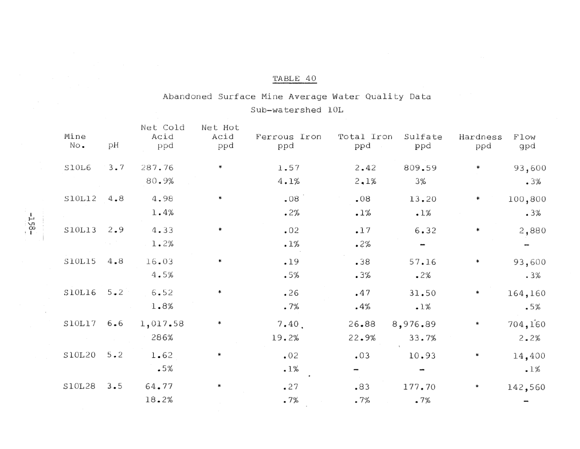# TABLE 40

# Abandoned Surface Mine Average Water Quality Data Sub-watershed 10L

| Mine<br>No. | рH          | Net Cold<br>Acid<br>ppd | Net Hot<br>Acid<br>ppd | Ferrous Iron<br>ppd | Total Iron<br>ppd | Sulfate<br>ppd    | Hardness<br>ppd | Flow<br>gpd     |
|-------------|-------------|-------------------------|------------------------|---------------------|-------------------|-------------------|-----------------|-----------------|
| S10L6       | $3 \cdot 7$ | 287.76<br>80.9%         |                        | 1.57<br>4.1%        | 2.42<br>2.1%      | 809.59<br>3%      |                 | 93,600<br>.3%   |
| S10L12      | 4.8         | 4.98<br>1.4%            |                        | .08<br>.2%          | .08<br>.1%        | 13.20<br>.1%      |                 | 100,800<br>.3%  |
| S10L13      | 2.9         | 4.33<br>1.2%            |                        | .02<br>.1%          | $-17$<br>.2%      | 6.32              |                 | 2,880           |
| S10L15      | 4.8         | 16.03<br>4.5%           |                        | .19<br>.5%          | .38<br>.3%        | 57.16<br>$-2%$    |                 | 93,600<br>.3%   |
| S10L16      | $5 \cdot 2$ | 6.52<br>1.8%            | *                      | .26<br>.7%          | .47<br>.4%        | 31.50<br>.1%      |                 | 164,160<br>.5%  |
| S10L17      | 6.6         | 1,017.58<br>286%        | *                      | 7.40.<br>19.2%      | 26.88<br>22.9%    | 8,976.89<br>33.7% |                 | 704,160<br>2.2% |
| S10L20      | $5 - 2$     | 1.62<br>.5%             |                        | .02<br>.1%          | .03               | 10.93             |                 | 14,400<br>.1%   |
| S10L28      | 3.5         | 64.77<br>18.2%          |                        | .27<br>.7%          | .83<br>.7%        | 177.70<br>.7%     |                 | 142,560         |

 $-158 -$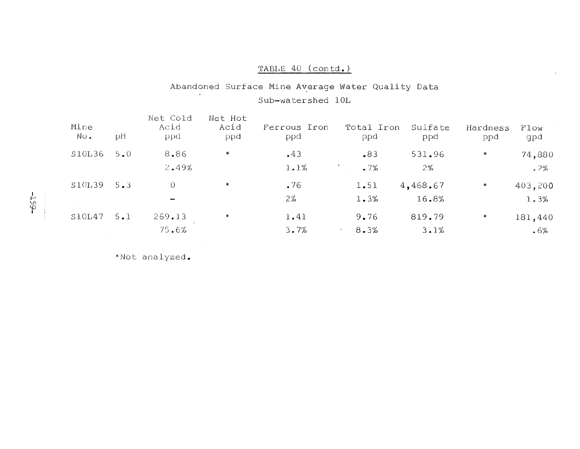## TABLE 40 (contd.)

# Abandoned Surface Mine Average Water Quality Data Sub-watershed 10L

| Mine<br>No. | рH  | Net Cold<br>Acid<br>ppd | Net Hot<br>Acid<br>ppd | Ferrous Iron<br>ppd | Total Iron<br>ppd | Sulfate<br>ppd    | Hardness<br>ppd | Flow<br>gpd       |
|-------------|-----|-------------------------|------------------------|---------------------|-------------------|-------------------|-----------------|-------------------|
| S10L36      | 5.0 | 8.86<br>2.49%           | ₩                      | .43<br>1.1%         | .83<br>.7%        | 531.96<br>2%      | ∗               | 74,880<br>.2%     |
| S10L39      | 5.3 | 0                       | ∗                      | .76<br>2%           | 1.51<br>1.3%      | 4,468.67<br>16.8% | ∗               | 403,200<br>1.3%   |
| S10L47      | 5.1 | 269.13<br>75.6%         | *                      | 1.41<br>3.7%        | 9.76<br>8.3%      | 819.79<br>3.1%    | *               | 181,440<br>$.6\%$ |

\*Not analyzed.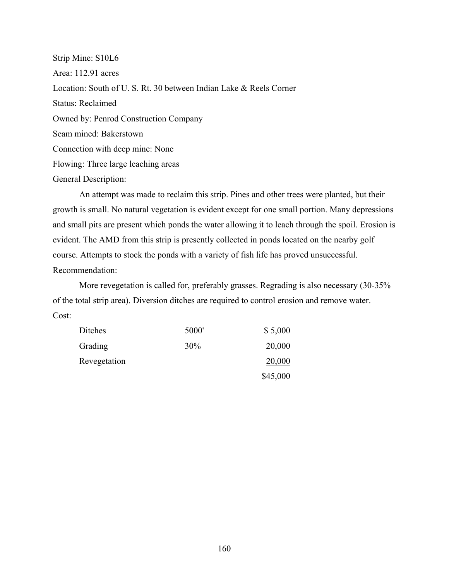Strip Mine: S10L6 Area: 112.91 acres Location: South of U. S. Rt. 30 between Indian Lake & Reels Corner Status: Reclaimed Owned by: Penrod Construction Company Seam mined: Bakerstown Connection with deep mine: None Flowing: Three large leaching areas General Description:

An attempt was made to reclaim this strip. Pines and other trees were planted, but their growth is small. No natural vegetation is evident except for one small portion. Many depressions and small pits are present which ponds the water allowing it to leach through the spoil. Erosion is evident. The AMD from this strip is presently collected in ponds located on the nearby golf course. Attempts to stock the ponds with a variety of fish life has proved unsuccessful. Recommendation:

More revegetation is called for, preferably grasses. Regrading is also necessary (30-35% of the total strip area). Diversion ditches are required to control erosion and remove water. Cost:

| Ditches      | 5000'  | \$5,000  |
|--------------|--------|----------|
| Grading      | $30\%$ | 20,000   |
| Revegetation |        | 20,000   |
|              |        | \$45,000 |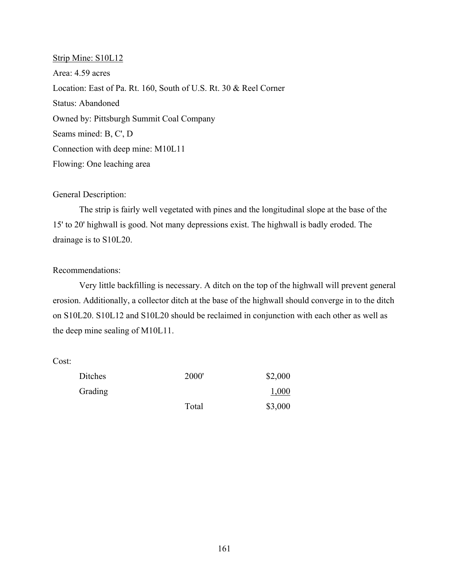Strip Mine: S10L12 Area: 4.59 acres Location: East of Pa. Rt. 160, South of U.S. Rt. 30 & Reel Corner Status: Abandoned Owned by: Pittsburgh Summit Coal Company Seams mined: B, C', D Connection with deep mine: M10L11 Flowing: One leaching area

### General Description:

The strip is fairly well vegetated with pines and the longitudinal slope at the base of the 15' to 20' highwall is good. Not many depressions exist. The highwall is badly eroded. The drainage is to S10L20.

### Recommendations:

Very little backfilling is necessary. A ditch on the top of the highwall will prevent general erosion. Additionally, a collector ditch at the base of the highwall should converge in to the ditch on S10L20. S10L12 and S10L20 should be reclaimed in conjunction with each other as well as the deep mine sealing of M10L11.

| Ditches | 2000' | \$2,000 |
|---------|-------|---------|
| Grading |       | 1,000   |
|         | Total | \$3,000 |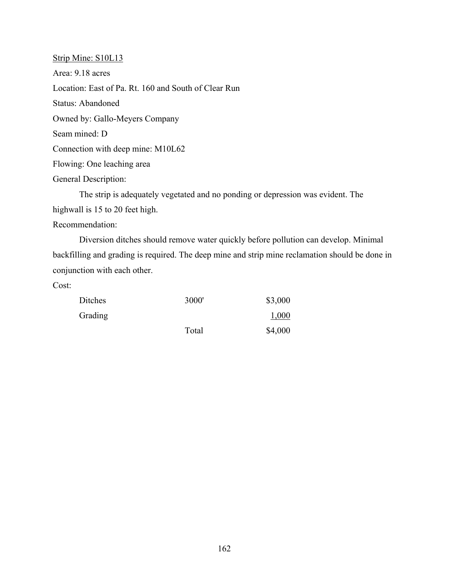Strip Mine: S10L13 Area: 9.18 acres Location: East of Pa. Rt. 160 and South of Clear Run Status: Abandoned Owned by: Gallo-Meyers Company Seam mined: D Connection with deep mine: M10L62 Flowing: One leaching area General Description: The strip is adequately vegetated and no ponding or depression was evident. The highwall is 15 to 20 feet high.

Recommendation:

Diversion ditches should remove water quickly before pollution can develop. Minimal backfilling and grading is required. The deep mine and strip mine reclamation should be done in conjunction with each other.

| Ditches | 3000' | \$3,000 |
|---------|-------|---------|
| Grading |       | 1,000   |
|         | Total | \$4,000 |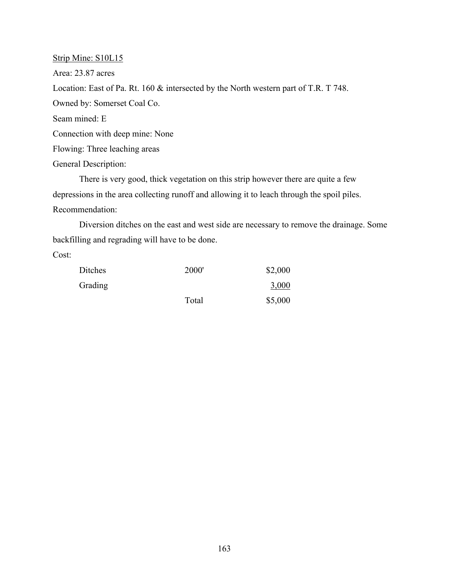Strip Mine: S10L15 Area: 23.87 acres Location: East of Pa. Rt. 160 & intersected by the North western part of T.R. T 748. Owned by: Somerset Coal Co. Seam mined: E Connection with deep mine: None Flowing: Three leaching areas General Description:

There is very good, thick vegetation on this strip however there are quite a few depressions in the area collecting runoff and allowing it to leach through the spoil piles. Recommendation:

Diversion ditches on the east and west side are necessary to remove the drainage. Some backfilling and regrading will have to be done.

| Ditches | 2000' | \$2,000 |
|---------|-------|---------|
| Grading |       | 3,000   |
|         | Total | \$5,000 |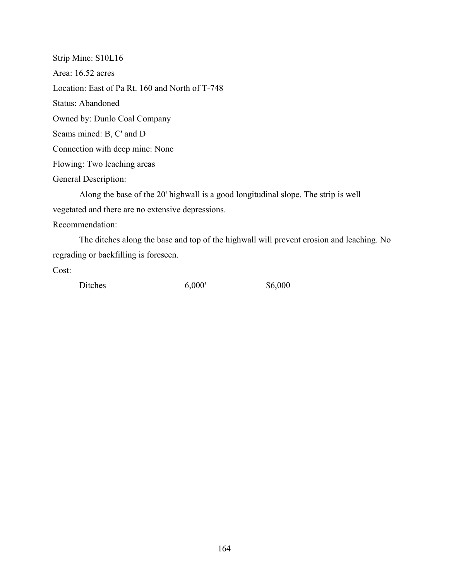Strip Mine: S10L16 Area: 16.52 acres Location: East of Pa Rt. 160 and North of T-748 Status: Abandoned Owned by: Dunlo Coal Company Seams mined: B, C' and D Connection with deep mine: None Flowing: Two leaching areas General Description: Along the base of the 20' highwall is a good longitudinal slope. The strip is well vegetated and there are no extensive depressions. Recommendation: The ditches along the base and top of the highwall will prevent erosion and leaching. No regrading or backfilling is foreseen.

| Ditches | 6,000' | \$6,000 |
|---------|--------|---------|
|---------|--------|---------|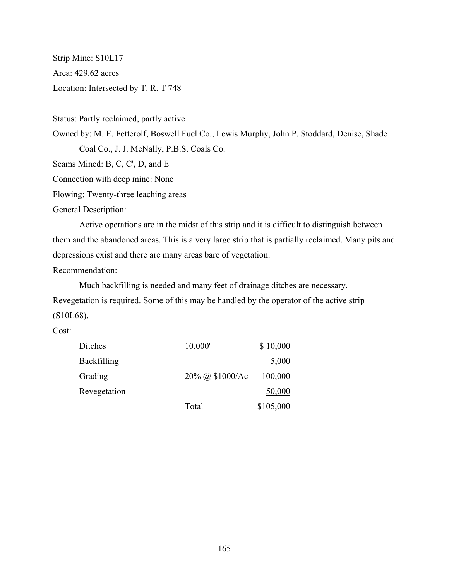Strip Mine: S10L17 Area: 429.62 acres Location: Intersected by T. R. T 748

Status: Partly reclaimed, partly active

Owned by: M. E. Fetterolf, Boswell Fuel Co., Lewis Murphy, John P. Stoddard, Denise, Shade Coal Co., J. J. McNally, P.B.S. Coals Co.

Seams Mined: B, C, C', D, and E

Connection with deep mine: None

Flowing: Twenty-three leaching areas

General Description:

Active operations are in the midst of this strip and it is difficult to distinguish between them and the abandoned areas. This is a very large strip that is partially reclaimed. Many pits and depressions exist and there are many areas bare of vegetation.

Recommendation:

Much backfilling is needed and many feet of drainage ditches are necessary. Revegetation is required. Some of this may be handled by the operator of the active strip (S10L68).

| Ditches      | 10,000'         | \$10,000  |
|--------------|-----------------|-----------|
| Backfilling  |                 | 5,000     |
| Grading      | 20% @ \$1000/Ac | 100,000   |
| Revegetation |                 | 50,000    |
|              | Total           | \$105,000 |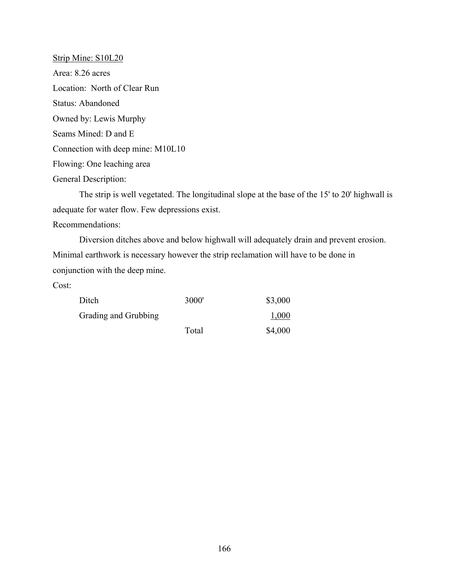Strip Mine: S10L20 Area: 8.26 acres Location: North of Clear Run Status: Abandoned Owned by: Lewis Murphy Seams Mined: D and E Connection with deep mine: M10L10 Flowing: One leaching area General Description:

The strip is well vegetated. The longitudinal slope at the base of the 15' to 20' highwall is adequate for water flow. Few depressions exist. Recommendations:

Diversion ditches above and below highwall will adequately drain and prevent erosion. Minimal earthwork is necessary however the strip reclamation will have to be done in conjunction with the deep mine.

| Ditch                | 3000' | \$3,000 |
|----------------------|-------|---------|
| Grading and Grubbing |       | 1,000   |
|                      | Total | \$4,000 |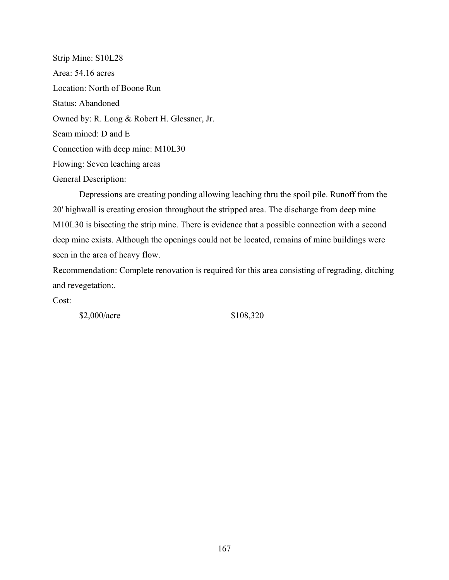Strip Mine: S10L28 Area: 54.16 acres Location: North of Boone Run Status: Abandoned Owned by: R. Long & Robert H. Glessner, Jr. Seam mined: D and E Connection with deep mine: M10L30 Flowing: Seven leaching areas General Description:

Depressions are creating ponding allowing leaching thru the spoil pile. Runoff from the 20' highwall is creating erosion throughout the stripped area. The discharge from deep mine M10L30 is bisecting the strip mine. There is evidence that a possible connection with a second deep mine exists. Although the openings could not be located, remains of mine buildings were seen in the area of heavy flow.

Recommendation: Complete renovation is required for this area consisting of regrading, ditching and revegetation:.

Cost:

\$2,000/acre \$108,320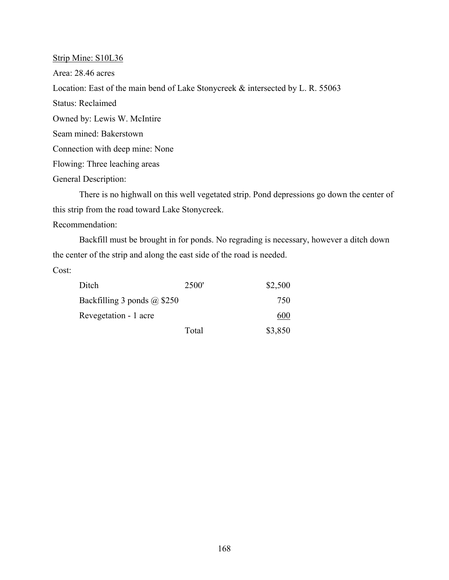Strip Mine: S10L36 Area: 28.46 acres Location: East of the main bend of Lake Stonycreek & intersected by L. R. 55063 Status: Reclaimed Owned by: Lewis W. McIntire Seam mined: Bakerstown Connection with deep mine: None Flowing: Three leaching areas General Description:

There is no highwall on this well vegetated strip. Pond depressions go down the center of this strip from the road toward Lake Stonycreek.

Recommendation:

Backfill must be brought in for ponds. No regrading is necessary, however a ditch down the center of the strip and along the east side of the road is needed.

| Ditch                              | 2500' | \$2,500 |
|------------------------------------|-------|---------|
| Backfilling 3 ponds $\omega$ \$250 |       | 750     |
| Revegetation - 1 acre              |       | 600     |
|                                    | Total | \$3,850 |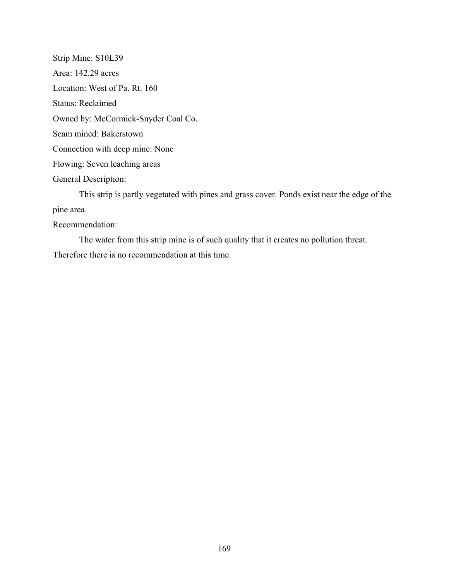Strip Mine: S10L39 Area: 142.29 acres Location: West of Pa. Rt. 160 Status: Reclaimed Owned by: McCormick-Snyder Coal Co. Seam mined: Bakerstown Connection with deep mine: None Flowing: Seven leaching areas General Description:

This strip is partly vegetated with pines and grass cover. Ponds exist near the edge of the pine area.

Recommendation:

The water from this strip mine is of such quality that it creates no pollution threat. Therefore there is no recommendation at this time.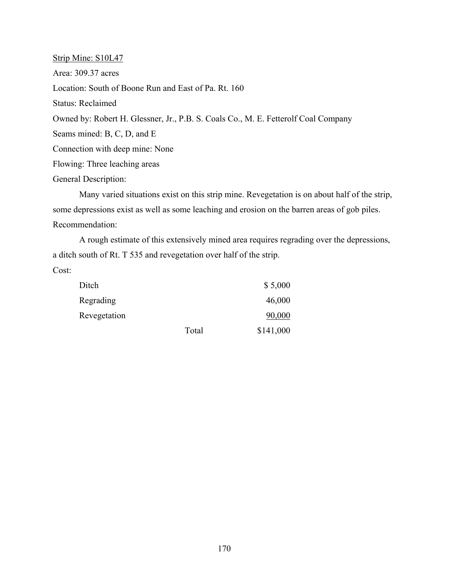Strip Mine: S10L47 Area: 309.37 acres Location: South of Boone Run and East of Pa. Rt. 160 Status: Reclaimed Owned by: Robert H. Glessner, Jr., P.B. S. Coals Co., M. E. Fetterolf Coal Company Seams mined: B, C, D, and E Connection with deep mine: None Flowing: Three leaching areas General Description:

Many varied situations exist on this strip mine. Revegetation is on about half of the strip, some depressions exist as well as some leaching and erosion on the barren areas of gob piles. Recommendation:

A rough estimate of this extensively mined area requires regrading over the depressions, a ditch south of Rt. T 535 and revegetation over half of the strip. Cost:

| Ditch        |       | \$5,000   |
|--------------|-------|-----------|
| Regrading    |       | 46,000    |
| Revegetation |       | 90,000    |
|              | Total | \$141,000 |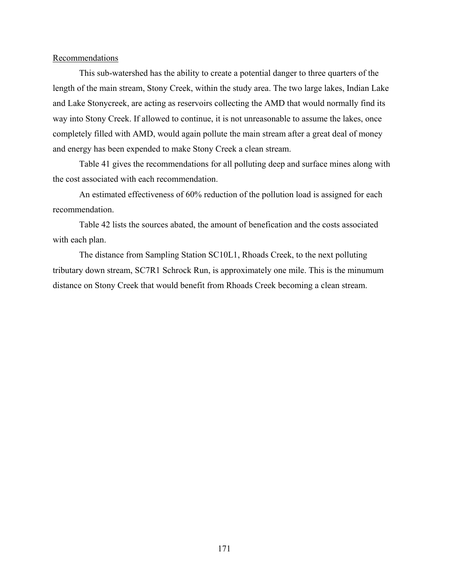#### **Recommendations**

This sub-watershed has the ability to create a potential danger to three quarters of the length of the main stream, Stony Creek, within the study area. The two large lakes, Indian Lake and Lake Stonycreek, are acting as reservoirs collecting the AMD that would normally find its way into Stony Creek. If allowed to continue, it is not unreasonable to assume the lakes, once completely filled with AMD, would again pollute the main stream after a great deal of money and energy has been expended to make Stony Creek a clean stream.

Table 41 gives the recommendations for all polluting deep and surface mines along with the cost associated with each recommendation.

An estimated effectiveness of 60% reduction of the pollution load is assigned for each recommendation.

Table 42 lists the sources abated, the amount of benefication and the costs associated with each plan.

The distance from Sampling Station SC10L1, Rhoads Creek, to the next polluting tributary down stream, SC7R1 Schrock Run, is approximately one mile. This is the minumum distance on Stony Creek that would benefit from Rhoads Creek becoming a clean stream.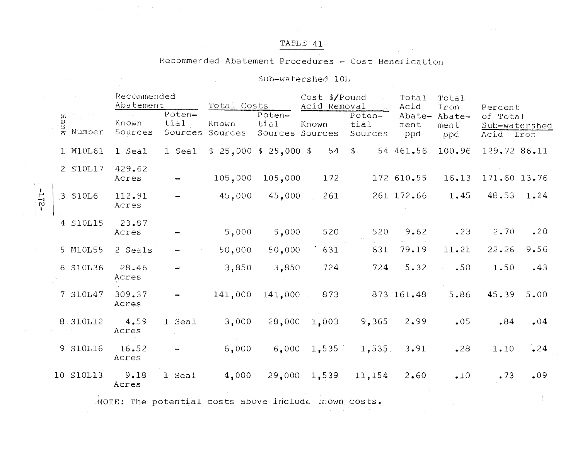# TABLE 41

### Recommended Abatement Procedures - Cost Benefication

### Sub-watershed 10L

|  |                         | Recommended<br>Abatement |                           | Total Costs         |                                   | Cost \$/Pound<br>Acid Removal |                           | Total<br>Acid         | Total<br>Iron         | Percent                                |      |
|--|-------------------------|--------------------------|---------------------------|---------------------|-----------------------------------|-------------------------------|---------------------------|-----------------------|-----------------------|----------------------------------------|------|
|  | }<br>ይ<br>ኢ Number      | Known<br>Sources         | Poten-<br>tial<br>Sources | Known<br>Sources    | Poten-<br>tial<br>Sources Sources | Known                         | Poten-<br>tial<br>Sources | Abate-<br>ment<br>ppd | Abate-<br>ment<br>ppd | of Total<br>Sub-watershed<br>Acid Iron |      |
|  | 1 M10L61                | 1 Seal                   | 1 Seal                    | \$25,000\$325,000\$ |                                   | $54$ \$                       |                           | 54 461.56             | 100.96                | 129.72 86.11                           |      |
|  | 2 S10L17                | 429.62<br>Acres          |                           | 105,000             | 105,000                           | 172                           |                           | 172 610.55            | 16.13                 | 171.60 13.76                           |      |
|  | 3 S10L6                 | 112.91<br>Acres          |                           | 45,000              | 45,000                            | 261                           |                           | 261 172.66            | 1.45                  | 48.53 1.24                             |      |
|  | 4 S10L15                | 23.87<br>Acres           |                           | 5,000               | 5,000                             | 520                           | 520                       | 9.62                  | .23                   | 2.70                                   | .20  |
|  | 5 M10L55                | 2 Seals                  |                           | 50,000              | 50,000                            | 631                           | 631                       | 79.19                 | 11.21                 | 22.26                                  | 9.56 |
|  | 6 S10L36                | 28.46<br>Acres           |                           | 3,850               | 3,850                             | 724                           | 724                       | 5.32                  | .50                   | 1.50                                   | .43  |
|  | 7 S10L47                | 309.37<br>Acres          |                           | 141,000             | 141,000                           | 873                           |                           | 873 161.48            | 5.86                  | 45.39                                  | 5.00 |
|  | 8. S10L12               | 4.59<br>Acres            | 1 Seal                    | 3,000               |                                   | 28,000 1,003                  | 9,365                     | 2.99                  | .05                   | .84                                    | .04  |
|  | 9 S10L16                | 16.52<br>Acres           |                           | 6,000               |                                   | $6,000$ 1,535                 | $1,535$ .                 | 3,91                  | .28                   | 1.10                                   | .24  |
|  | 10 S10L13               | 9.18<br>Acres            | 1 Seal                    | 4,000               |                                   | 29,000 1,539                  | 11,154                    | 2.60                  | $\cdot$ 10            | .73                                    | .09  |
|  | the control of the con- |                          |                           |                     |                                   |                               |                           |                       |                       |                                        |      |

NOTE: The potential costs above include mown costs.

 $-215$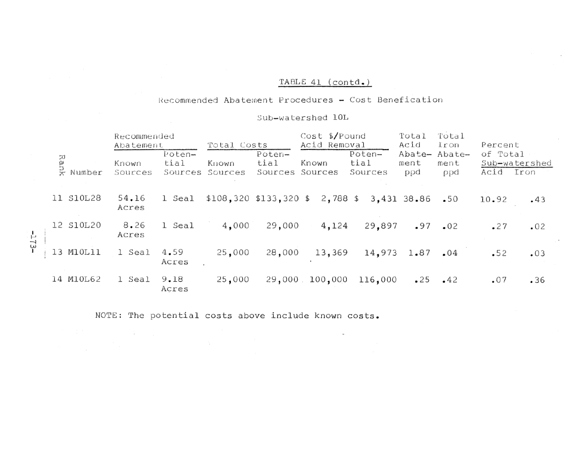## TABLE 41 (contd.)

### Recommended Abatement Procedures - Cost Benefication

### Sub-watershed 10L

|                | Recommended<br>Abatement |                           | Total Costs              |                                   | $Cost$ \$/Pound<br>Acid Removal |                           | Total<br>Acid | Total<br>lron                | Percent          |                       |
|----------------|--------------------------|---------------------------|--------------------------|-----------------------------------|---------------------------------|---------------------------|---------------|------------------------------|------------------|-----------------------|
| Rank<br>Number | Known<br>Sources         | Poten-<br>tial<br>Sources | Known<br>Sources         | Poten-<br>tial<br>Sources Sources | Known                           | Poten-<br>tial<br>Sources | ment<br>ppd   | Abate- Abate-<br>ment<br>ppd | of Total<br>Acid | Sub-watershed<br>Iron |
| 11 S10L28      | 54.16<br>Acres           | 1 Seal                    | $$108,320$ $$133,320$ \$ |                                   | 2,788 \$                        |                           | 3,431 38.86   | $-50$                        | 10.92            | .43                   |
| 12 S10L20      | 8.26<br>Acres            | 1 Seal                    | 4,000                    | 29,000                            | 4,124                           | 29,897                    | .97           | .02                          | $-27$            | .02                   |
| 13 M10L11      | l Seal                   | 4.59<br>Acres             | 25,000                   | 28,000                            | 13,369                          | 14,973                    | 1.87          | .04                          | $-52$            | .03                   |
| 14 M10L62      | 1 Seal                   | 9.18<br>Acres             | 25,000                   |                                   | 29,000 100,000                  | 116,000                   | .25           | $-42$                        | .07              | .36                   |

NOTE: The potential costs above include known costs.

S.

**CALCULU**